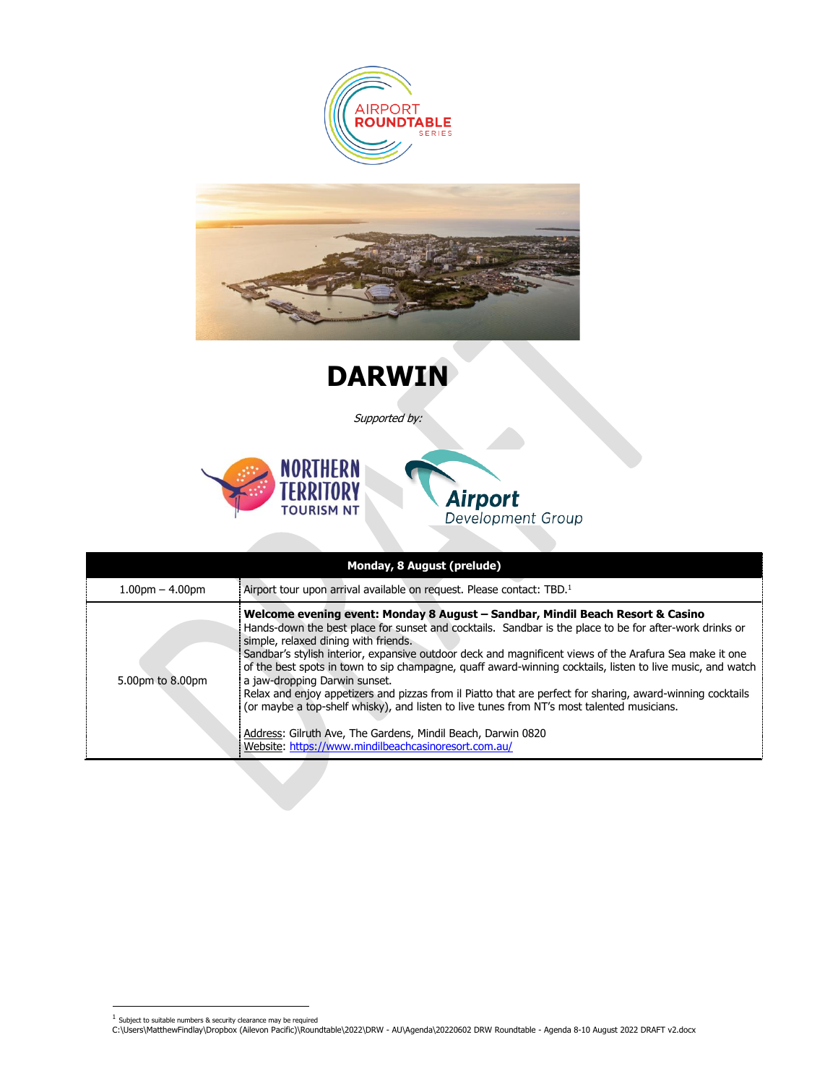



**DARWIN**

Supported by:





| Monday, 8 August (prelude) |                                                                                                                                                                                                                                                                                                                                                                                                                                                                                                                                                                                                                                                                                                                                                                                                                                 |  |  |  |
|----------------------------|---------------------------------------------------------------------------------------------------------------------------------------------------------------------------------------------------------------------------------------------------------------------------------------------------------------------------------------------------------------------------------------------------------------------------------------------------------------------------------------------------------------------------------------------------------------------------------------------------------------------------------------------------------------------------------------------------------------------------------------------------------------------------------------------------------------------------------|--|--|--|
| $1.00pm - 4.00pm$          | Airport tour upon arrival available on request. Please contact: TBD. <sup>1</sup>                                                                                                                                                                                                                                                                                                                                                                                                                                                                                                                                                                                                                                                                                                                                               |  |  |  |
| 5.00pm to 8.00pm           | Welcome evening event: Monday 8 August - Sandbar, Mindil Beach Resort & Casino<br>Hands-down the best place for sunset and cocktails. Sandbar is the place to be for after-work drinks or<br>simple, relaxed dining with friends.<br>Sandbar's stylish interior, expansive outdoor deck and magnificent views of the Arafura Sea make it one<br>of the best spots in town to sip champagne, quaff award-winning cocktails, listen to live music, and watch<br>a jaw-dropping Darwin sunset.<br>Relax and enjoy appetizers and pizzas from il Piatto that are perfect for sharing, award-winning cocktails<br>(or maybe a top-shelf whisky), and listen to live tunes from NT's most talented musicians.<br>Address: Gilruth Ave, The Gardens, Mindil Beach, Darwin 0820<br>Website: https://www.mindilbeachcasinoresort.com.au/ |  |  |  |

 $1$  Subject to suitable numbers & security clearance may be required

C:\Users\MatthewFindlay\Dropbox (Ailevon Pacific)\Roundtable\2022\DRW - AU\Agenda\20220602 DRW Roundtable - Agenda 8-10 August 2022 DRAFT v2.docx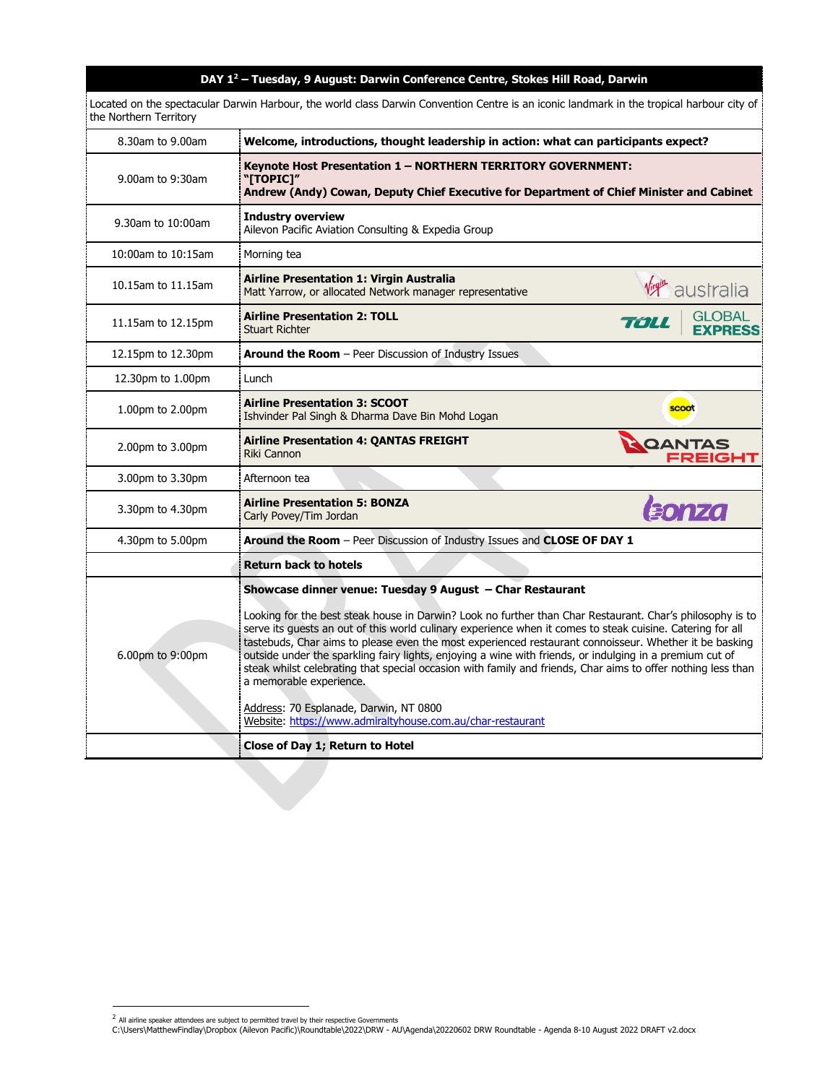## **DAY 1<sup>2</sup> – Tuesday, 9 August: Darwin Conference Centre, Stokes Hill Road, Darwin**

Located on the spectacular Darwin Harbour, the world class Darwin Convention Centre is an iconic landmark in the tropical harbour city of the Northern Territory

| 8.30am to 9.00am   | Welcome, introductions, thought leadership in action: what can participants expect?                                                                                                                                                                                                                                                                                                                                                                                                                                                                                                      |                                         |  |
|--------------------|------------------------------------------------------------------------------------------------------------------------------------------------------------------------------------------------------------------------------------------------------------------------------------------------------------------------------------------------------------------------------------------------------------------------------------------------------------------------------------------------------------------------------------------------------------------------------------------|-----------------------------------------|--|
| 9.00am to 9:30am   | Keynote Host Presentation 1 - NORTHERN TERRITORY GOVERNMENT:<br>"[TOPIC]"<br>Andrew (Andy) Cowan, Deputy Chief Executive for Department of Chief Minister and Cabinet                                                                                                                                                                                                                                                                                                                                                                                                                    |                                         |  |
| 9.30am to 10:00am  | <b>Industry overview</b><br>Ailevon Pacific Aviation Consulting & Expedia Group                                                                                                                                                                                                                                                                                                                                                                                                                                                                                                          |                                         |  |
| 10:00am to 10:15am | Morning tea                                                                                                                                                                                                                                                                                                                                                                                                                                                                                                                                                                              |                                         |  |
| 10.15am to 11.15am | <b>Airline Presentation 1: Virgin Australia</b><br>Matt Yarrow, or allocated Network manager representative                                                                                                                                                                                                                                                                                                                                                                                                                                                                              | <b>Virgin</b> australia                 |  |
| 11.15am to 12.15pm | <b>Airline Presentation 2: TOLL</b><br><b>Stuart Richter</b>                                                                                                                                                                                                                                                                                                                                                                                                                                                                                                                             | <b>GLOBAL</b><br>TOLL<br><b>FXPRFSS</b> |  |
| 12.15pm to 12.30pm | Around the Room - Peer Discussion of Industry Issues                                                                                                                                                                                                                                                                                                                                                                                                                                                                                                                                     |                                         |  |
| 12.30pm to 1.00pm  | Lunch                                                                                                                                                                                                                                                                                                                                                                                                                                                                                                                                                                                    |                                         |  |
| 1.00pm to 2.00pm   | <b>Airline Presentation 3: SCOOT</b><br>Ishvinder Pal Singh & Dharma Dave Bin Mohd Logan                                                                                                                                                                                                                                                                                                                                                                                                                                                                                                 | scoot                                   |  |
| 2.00pm to 3.00pm   | <b>Airline Presentation 4: QANTAS FREIGHT</b><br>Riki Cannon                                                                                                                                                                                                                                                                                                                                                                                                                                                                                                                             | <b>QANTAS<br/>FREIGHT</b>               |  |
| 3.00pm to 3.30pm   | Afternoon tea                                                                                                                                                                                                                                                                                                                                                                                                                                                                                                                                                                            |                                         |  |
| 3.30pm to 4.30pm   | <b>Airline Presentation 5: BONZA</b><br>Carly Povey/Tim Jordan                                                                                                                                                                                                                                                                                                                                                                                                                                                                                                                           | <b>Eonza</b>                            |  |
| 4.30pm to 5.00pm   | Around the Room - Peer Discussion of Industry Issues and CLOSE OF DAY 1                                                                                                                                                                                                                                                                                                                                                                                                                                                                                                                  |                                         |  |
|                    | <b>Return back to hotels</b>                                                                                                                                                                                                                                                                                                                                                                                                                                                                                                                                                             |                                         |  |
|                    | Showcase dinner venue: Tuesday 9 August - Char Restaurant                                                                                                                                                                                                                                                                                                                                                                                                                                                                                                                                |                                         |  |
| 6.00pm to 9:00pm   | Looking for the best steak house in Darwin? Look no further than Char Restaurant. Char's philosophy is to<br>serve its guests an out of this world culinary experience when it comes to steak cuisine. Catering for all<br>tastebuds, Char aims to please even the most experienced restaurant connoisseur. Whether it be basking<br>outside under the sparkling fairy lights, enjoying a wine with friends, or indulging in a premium cut of<br>steak whilst celebrating that special occasion with family and friends, Char aims to offer nothing less than<br>a memorable experience. |                                         |  |
|                    | Address: 70 Esplanade, Darwin, NT 0800<br>Website: https://www.admiraltyhouse.com.au/char-restaurant                                                                                                                                                                                                                                                                                                                                                                                                                                                                                     |                                         |  |
|                    | Close of Day 1; Return to Hotel                                                                                                                                                                                                                                                                                                                                                                                                                                                                                                                                                          |                                         |  |

<sup>&</sup>lt;sup>2</sup> All airline speaker attendees are subject to permitted travel by their respective Governments

C:\Users\MatthewFindlay\Dropbox (Ailevon Pacific)\Roundtable\2022\DRW - AU\Agenda\20220602 DRW Roundtable - Agenda 8-10 August 2022 DRAFT v2.docx